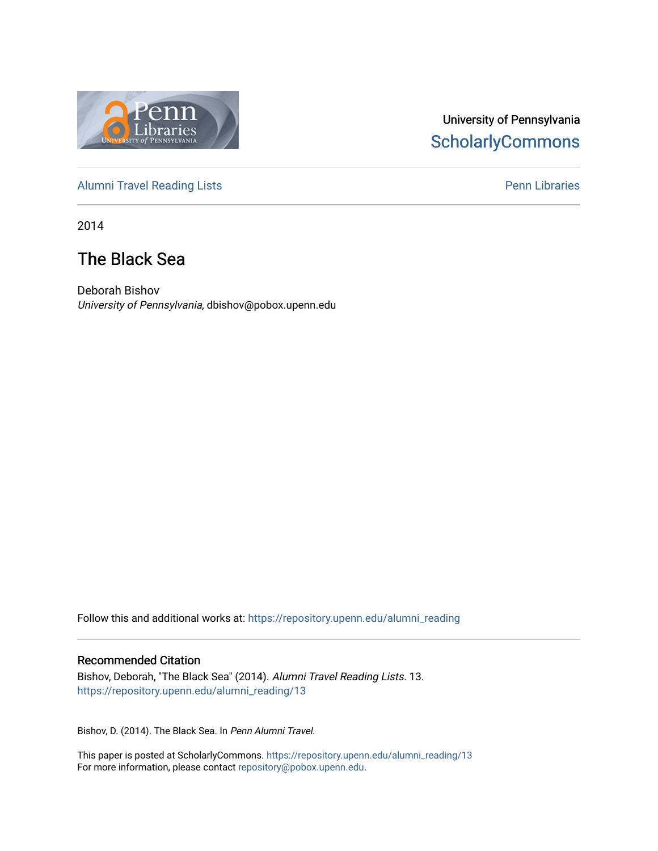

# University of Pennsylvania **ScholarlyCommons**

[Alumni Travel Reading Lists](https://repository.upenn.edu/alumni_reading) **Pennish Containers** [Penn Libraries](https://repository.upenn.edu/library) **Pennish Containers** 

2014

# The Black Sea

Deborah Bishov University of Pennsylvania, dbishov@pobox.upenn.edu

Follow this and additional works at: [https://repository.upenn.edu/alumni\\_reading](https://repository.upenn.edu/alumni_reading?utm_source=repository.upenn.edu%2Falumni_reading%2F13&utm_medium=PDF&utm_campaign=PDFCoverPages)

#### Recommended Citation

Bishov, Deborah, "The Black Sea" (2014). Alumni Travel Reading Lists. 13. [https://repository.upenn.edu/alumni\\_reading/13](https://repository.upenn.edu/alumni_reading/13?utm_source=repository.upenn.edu%2Falumni_reading%2F13&utm_medium=PDF&utm_campaign=PDFCoverPages) 

Bishov, D. (2014). The Black Sea. In Penn Alumni Travel.

This paper is posted at ScholarlyCommons. [https://repository.upenn.edu/alumni\\_reading/13](https://repository.upenn.edu/alumni_reading/13)  For more information, please contact [repository@pobox.upenn.edu.](mailto:repository@pobox.upenn.edu)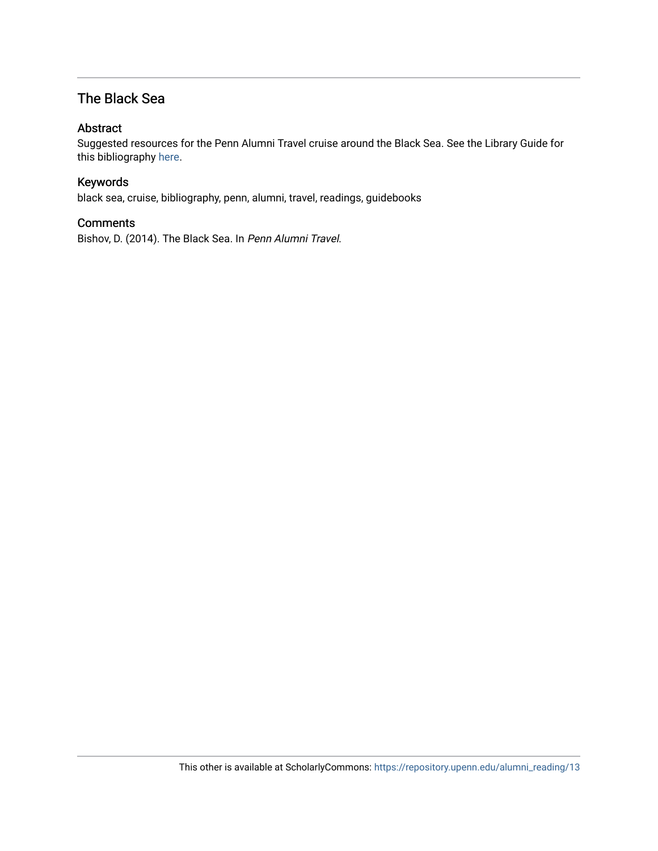# The Black Sea

#### Abstract

Suggested resources for the Penn Alumni Travel cruise around the Black Sea. See the Library Guide for this bibliography [here.](http://guides.library.upenn.edu/alumnitravelreading_blacksea)

#### Keywords

black sea, cruise, bibliography, penn, alumni, travel, readings, guidebooks

#### **Comments**

Bishov, D. (2014). The Black Sea. In Penn Alumni Travel.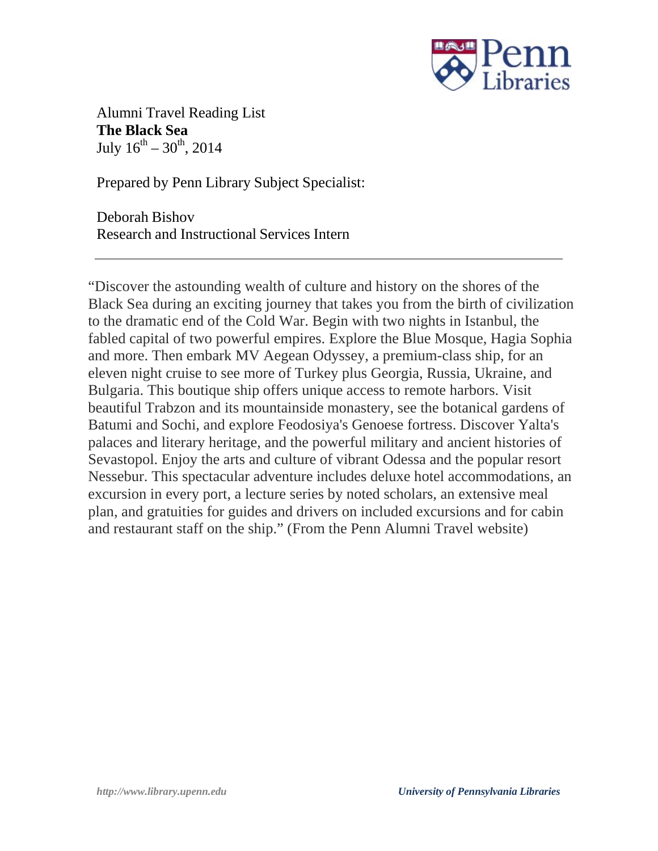

Alumni Travel Reading List **The Black Sea** July  $16^{th} - 30^{th}$ , 2014

Prepared by Penn Library Subject Specialist:

Deborah Bishov Research and Instructional Services Intern

"Discover the astounding wealth of culture and history on the shores of the Black Sea during an exciting journey that takes you from the birth of civilization to the dramatic end of the Cold War. Begin with two nights in Istanbul, the fabled capital of two powerful empires. Explore the Blue Mosque, Hagia Sophia and more. Then embark MV Aegean Odyssey, a premium-class ship, for an eleven night cruise to see more of Turkey plus Georgia, Russia, Ukraine, and Bulgaria. This boutique ship offers unique access to remote harbors. Visit beautiful Trabzon and its mountainside monastery, see the botanical gardens of Batumi and Sochi, and explore Feodosiya's Genoese fortress. Discover Yalta's palaces and literary heritage, and the powerful military and ancient histories of Sevastopol. Enjoy the arts and culture of vibrant Odessa and the popular resort Nessebur. This spectacular adventure includes deluxe hotel accommodations, an excursion in every port, a lecture series by noted scholars, an extensive meal plan, and gratuities for guides and drivers on included excursions and for cabin and restaurant staff on the ship." (From the Penn Alumni Travel website)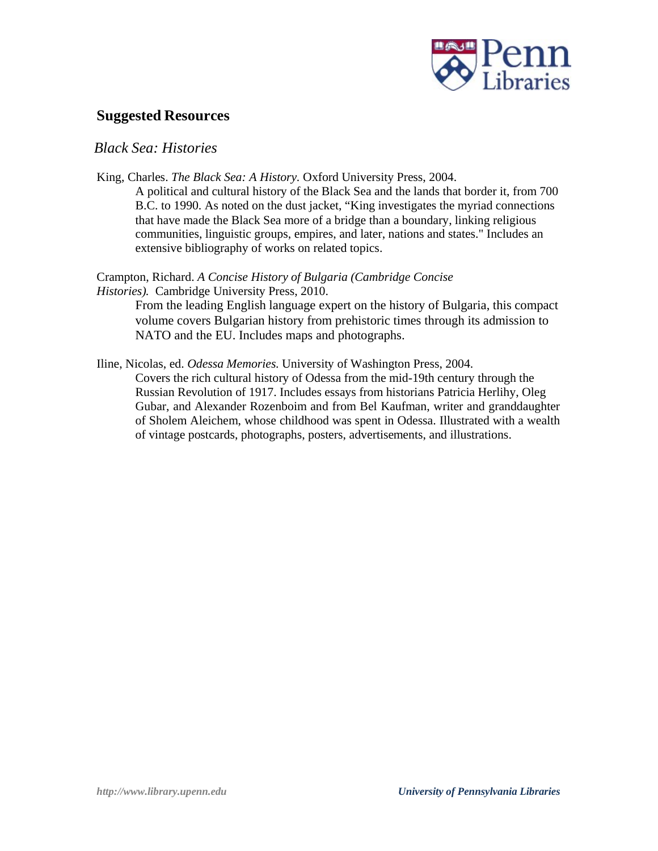

## **Suggested Resources**

### *Black Sea: Histories*

King, Charles. *The Black Sea: A History.* Oxford University Press, 2004.

A political and cultural history of the Black Sea and the lands that border it, from 700 B.C. to 1990. As noted on the dust jacket, "King investigates the myriad connections that have made the Black Sea more of a bridge than a boundary, linking religious communities, linguistic groups, empires, and later, nations and states." Includes an extensive bibliography of works on related topics.

Crampton, Richard. *A Concise History of Bulgaria (Cambridge Concise Histories).* Cambridge University Press, 2010.

NATO and the EU. Includes maps and photographs.

From the leading English language expert on the history of Bulgaria, this compact volume covers Bulgarian history from prehistoric times through its admission to

Iline, Nicolas, ed. *Odessa Memories.* University of Washington Press, 2004.

Covers the rich cultural history of Odessa from the mid-19th century through the Russian Revolution of 1917. Includes essays from historians Patricia Herlihy, Oleg Gubar, and Alexander Rozenboim and from Bel Kaufman, writer and granddaughter of Sholem Aleichem, whose childhood was spent in Odessa. Illustrated with a wealth of vintage postcards, photographs, posters, advertisements, and illustrations.